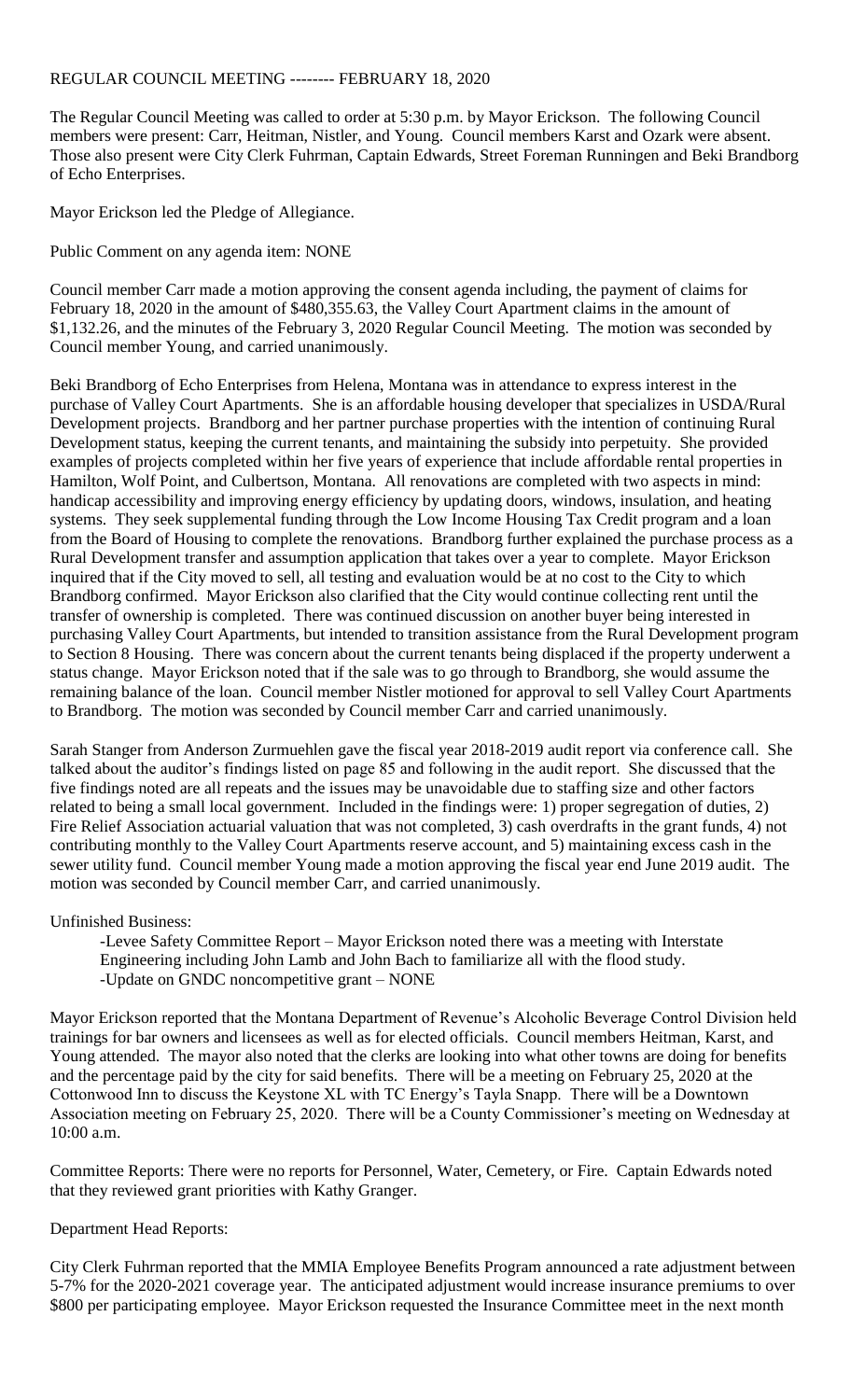## REGULAR COUNCIL MEETING -------- FEBRUARY 18, 2020

The Regular Council Meeting was called to order at 5:30 p.m. by Mayor Erickson. The following Council members were present: Carr, Heitman, Nistler, and Young. Council members Karst and Ozark were absent. Those also present were City Clerk Fuhrman, Captain Edwards, Street Foreman Runningen and Beki Brandborg of Echo Enterprises.

Mayor Erickson led the Pledge of Allegiance.

Public Comment on any agenda item: NONE

Council member Carr made a motion approving the consent agenda including, the payment of claims for February 18, 2020 in the amount of \$480,355.63, the Valley Court Apartment claims in the amount of \$1,132.26, and the minutes of the February 3, 2020 Regular Council Meeting. The motion was seconded by Council member Young, and carried unanimously.

Beki Brandborg of Echo Enterprises from Helena, Montana was in attendance to express interest in the purchase of Valley Court Apartments. She is an affordable housing developer that specializes in USDA/Rural Development projects. Brandborg and her partner purchase properties with the intention of continuing Rural Development status, keeping the current tenants, and maintaining the subsidy into perpetuity. She provided examples of projects completed within her five years of experience that include affordable rental properties in Hamilton, Wolf Point, and Culbertson, Montana. All renovations are completed with two aspects in mind: handicap accessibility and improving energy efficiency by updating doors, windows, insulation, and heating systems. They seek supplemental funding through the Low Income Housing Tax Credit program and a loan from the Board of Housing to complete the renovations. Brandborg further explained the purchase process as a Rural Development transfer and assumption application that takes over a year to complete. Mayor Erickson inquired that if the City moved to sell, all testing and evaluation would be at no cost to the City to which Brandborg confirmed. Mayor Erickson also clarified that the City would continue collecting rent until the transfer of ownership is completed. There was continued discussion on another buyer being interested in purchasing Valley Court Apartments, but intended to transition assistance from the Rural Development program to Section 8 Housing. There was concern about the current tenants being displaced if the property underwent a status change. Mayor Erickson noted that if the sale was to go through to Brandborg, she would assume the remaining balance of the loan. Council member Nistler motioned for approval to sell Valley Court Apartments to Brandborg. The motion was seconded by Council member Carr and carried unanimously.

Sarah Stanger from Anderson Zurmuehlen gave the fiscal year 2018-2019 audit report via conference call. She talked about the auditor's findings listed on page 85 and following in the audit report. She discussed that the five findings noted are all repeats and the issues may be unavoidable due to staffing size and other factors related to being a small local government. Included in the findings were: 1) proper segregation of duties, 2) Fire Relief Association actuarial valuation that was not completed, 3) cash overdrafts in the grant funds, 4) not contributing monthly to the Valley Court Apartments reserve account, and 5) maintaining excess cash in the sewer utility fund. Council member Young made a motion approving the fiscal year end June 2019 audit. The motion was seconded by Council member Carr, and carried unanimously.

Unfinished Business:

-Levee Safety Committee Report – Mayor Erickson noted there was a meeting with Interstate Engineering including John Lamb and John Bach to familiarize all with the flood study. -Update on GNDC noncompetitive grant – NONE

Mayor Erickson reported that the Montana Department of Revenue's Alcoholic Beverage Control Division held trainings for bar owners and licensees as well as for elected officials. Council members Heitman, Karst, and Young attended. The mayor also noted that the clerks are looking into what other towns are doing for benefits and the percentage paid by the city for said benefits. There will be a meeting on February 25, 2020 at the Cottonwood Inn to discuss the Keystone XL with TC Energy's Tayla Snapp. There will be a Downtown Association meeting on February 25, 2020. There will be a County Commissioner's meeting on Wednesday at 10:00 a.m.

Committee Reports: There were no reports for Personnel, Water, Cemetery, or Fire. Captain Edwards noted that they reviewed grant priorities with Kathy Granger.

## Department Head Reports:

City Clerk Fuhrman reported that the MMIA Employee Benefits Program announced a rate adjustment between 5-7% for the 2020-2021 coverage year. The anticipated adjustment would increase insurance premiums to over \$800 per participating employee. Mayor Erickson requested the Insurance Committee meet in the next month